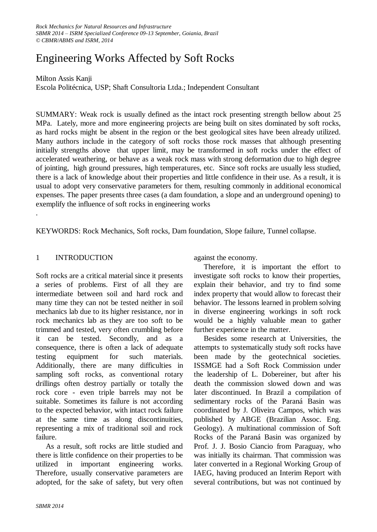# Engineering Works Affected by Soft Rocks

# Milton Assis Kanji

Escola Politécnica, USP; Shaft Consultoria Ltda.; Independent Consultant

SUMMARY: Weak rock is usually defined as the intact rock presenting strength bellow about 25 MPa. Lately, more and more engineering projects are being built on sites dominated by soft rocks, as hard rocks might be absent in the region or the best geological sites have been already utilized. Many authors include in the category of soft rocks those rock masses that although presenting initially strengths above that upper limit, may be transformed in soft rocks under the effect of accelerated weathering, or behave as a weak rock mass with strong deformation due to high degree of jointing, high ground pressures, high temperatures, etc. Since soft rocks are usually less studied, there is a lack of knowledge about their properties and little confidence in their use. As a result, it is usual to adopt very conservative parameters for them, resulting commonly in additional economical expenses. The paper presents three cases (a dam foundation, a slope and an underground opening) to exemplify the influence of soft rocks in engineering works

KEYWORDS: Rock Mechanics, Soft rocks, Dam foundation, Slope failure, Tunnel collapse.

# 1 INTRODUCTION

.

Soft rocks are a critical material since it presents a series of problems. First of all they are intermediate between soil and hard rock and many time they can not be tested neither in soil mechanics lab due to its higher resistance, nor in rock mechanics lab as they are too soft to be trimmed and tested, very often crumbling before it can be tested. Secondly, and as a consequence, there is often a lack of adequate testing equipment for such materials. Additionally, there are many difficulties in sampling soft rocks, as conventional rotary drillings often destroy partially or totally the rock core - even triple barrels may not be suitable. Sometimes its failure is not according to the expected behavior, with intact rock failure at the same time as along discontinuities, representing a mix of traditional soil and rock failure.

 As a result, soft rocks are little studied and there is little confidence on their properties to be utilized in important engineering works. Therefore, usually conservative parameters are adopted, for the sake of safety, but very often

against the economy.

 Therefore, it is important the effort to investigate soft rocks to know their properties, explain their behavior, and try to find some index property that would allow to forecast their behavior. The lessons learned in problem solving in diverse engineering workings in soft rock would be a highly valuable mean to gather further experience in the matter.

 Besides some research at Universities, the attempts to systematically study soft rocks have been made by the geotechnical societies. ISSMGE had a Soft Rock Commission under the leadership of L. Dobereiner, but after his death the commission slowed down and was later discontinued. In Brazil a compilation of sedimentary rocks of the Paraná Basin was coordinated by J. Oliveira Campos, which was published by ABGE (Brazilian Assoc. Eng. Geology). A multinational commission of Soft Rocks of the Paraná Basin was organized by Prof. J. J. Bosio Ciancio from Paraguay, who was initially its chairman. That commission was later converted in a Regional Working Group of IAEG, having produced an Interim Report with several contributions, but was not continued by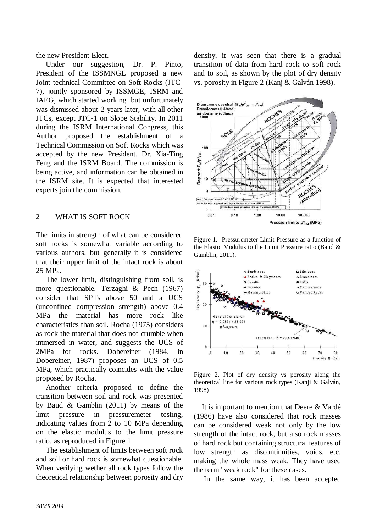the new President Elect.

 Under our suggestion, Dr. P. Pinto, President of the ISSMNGE proposed a new Joint technical Committee on Soft Rocks (JTC-7), jointly sponsored by ISSMGE, ISRM and IAEG, which started working but unfortunately was dismissed about 2 years later, with all other JTCs, except JTC-1 on Slope Stability. In 2011 during the ISRM International Congress, this Author proposed the establishment of a Technical Commission on Soft Rocks which was accepted by the new President, Dr. Xia-Ting Feng and the ISRM Board. The commission is being active, and information can be obtained in the ISRM site. It is expected that interested experts join the commission.

# 2 WHAT IS SOFT ROCK

The limits in strength of what can be considered soft rocks is somewhat variable according to various authors, but generally it is considered that their upper limit of the intact rock is about 25 MPa.

 The lower limit, distinguishing from soil, is more questionable. Terzaghi & Pech (1967) consider that SPTs above 50 and a UCS (unconfined compression strength) above 0.4 MPa the material has more rock like characteristics than soil. Rocha (1975) considers as rock the material that does not crumble when immersed in water, and suggests the UCS of 2MPa for rocks. Dobereiner (1984, in Dobereiner, 1987) proposes an UCS of 0,5 MPa, which practically coincides with the value proposed by Rocha.

 Another criteria proposed to define the transition between soil and rock was presented by Baud & Gamblin (2011) by means of the limit pressure in pressuremeter testing, indicating values from 2 to 10 MPa depending on the elastic modulus to the limit pressure ratio, as reproduced in Figure 1.

 The establishment of limits between soft rock and soil or hard rock is somewhat questionable. When verifying wether all rock types follow the theoretical relationship between porosity and dry density, it was seen that there is a gradual transition of data from hard rock to soft rock and to soil, as shown by the plot of dry density vs. porosity in Figure 2 (Kanj & Galván 1998).



Figure 1. Pressuremeter Limit Pressure as a function of the Elastic Modulus to the Limit Pressure ratio (Baud & Gamblin, 2011).



Figure 2. Plot of dry density vs porosity along the theoretical line for various rock types (Kanji & Galván, 1998)

 It is important to mention that Deere & Vardé (1986) have also considered that rock masses can be considered weak not only by the low strength of the intact rock, but also rock masses of hard rock but containing structural features of low strength as discontinuities, voids, etc, making the whole mass weak. They have used the term "weak rock" for these cases.

In the same way, it has been accepted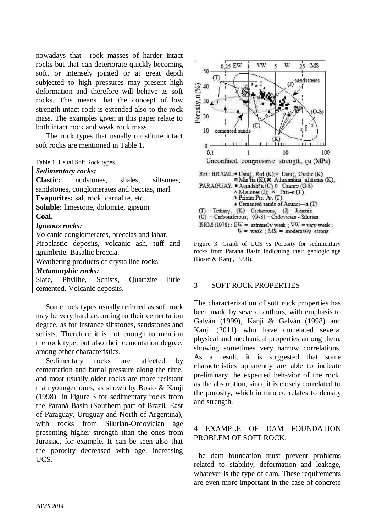nowadays that rock masses of harder intact rocks but that can deteriorate quickly becoming soft, or intensely jointed or at great depth subjected to high pressures may present high deformation and therefore will behave as soft rocks. This means that the concept of low strength intact rock is extended also to the rock mass. The examples given in this paper relate to both intact rock and weak rock mass.

 The rock types that usually constitute intact soft rocks are mentioned in Table 1.

Table 1. Usual Soft Rock types.

| <b>Sedimentary rocks:</b>                    |                                               |  |  |  |
|----------------------------------------------|-----------------------------------------------|--|--|--|
|                                              | <b>Clastic:</b> mudstones, shales, siltsones, |  |  |  |
| sandstones, conglomerates and beccias, marl. |                                               |  |  |  |
| Evaporites: salt rock, carnalite, etc.       |                                               |  |  |  |
| <b>Soluble:</b> limestone, dolomite, gipsum. |                                               |  |  |  |
| Coal.                                        |                                               |  |  |  |
| Igneous rocks:                               |                                               |  |  |  |
| Volcanic conglomerates, breccias and lahar,  |                                               |  |  |  |
| Piroclastic deposits, volcanic ash, tuff and |                                               |  |  |  |
| ignimbrite. Basaltic breccia.                |                                               |  |  |  |
| Weathering products of crystalline rocks     |                                               |  |  |  |
| <b>Metamorphic rocks:</b>                    |                                               |  |  |  |
|                                              | Slate, Phyllite, Schists, Quartzite little    |  |  |  |
| cemented. Volcanic deposits.                 |                                               |  |  |  |

 Some rock types usually referred as soft rock may be very hard according to their cementation degree, as for instance siltstones, sandstones and schists. Therefore it is not enough to mention the rock type, but also their cementation degree, among other characteristics.

 Sedimentary rocks are affected by cementation and burial pressure along the time, and most usually older rocks are more resistant than younger ones, as shown by Bosio & Kanji (1998) in Figure 3 for sedimentary rocks from the Paraná Basin (Southern part of Brazil, East of Paraguay, Uruguay and North of Argentina), with rocks from Silurian-Ordovician age presenting higher strength than the ones from Jurassic, for example. It can be seen also that the porosity decreased with age, increasing UCS.



Figure 3. Graph of UCS vs Porosity for sedimentary rocks from Paraná Basin indicating their geologic age (Bosio & Kanji, 1998).

### 3 SOFT ROCK PROPERTIES

The characterization of soft rock properties has been made by several authors, with emphasis to Galván (1999), Kanji & Galván (1998) and Kanji (2011) who have correlated several physical and mechanical properties among them, showing sometimes very narrow correlations. As a result, it is suggested that some characteristics apparently are able to indicate preliminary the expected behavior of the rock, as the absorption, since it is closely correlated to the porosity, which in turn correlates to density and strength.

# 4 EXAMPLE OF DAM FOUNDATION PROBLEM OF SOFT ROCK.

The dam foundation must prevent problems related to stability, deformation and leakage, whatever is the type of dam. These requirements are even more important in the case of concrete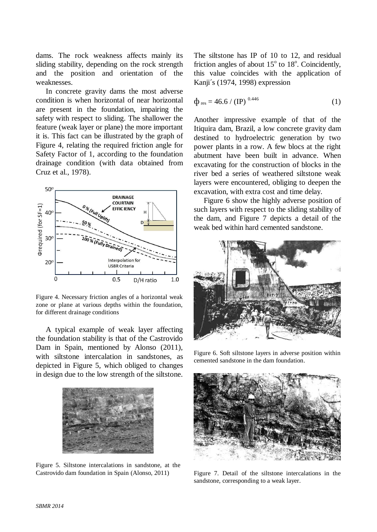dams. The rock weakness affects mainly its sliding stability, depending on the rock strength and the position and orientation of the weaknesses.

 In concrete gravity dams the most adverse condition is when horizontal of near horizontal are present in the foundation, impairing the safety with respect to sliding. The shallower the feature (weak layer or plane) the more important it is. This fact can be illustrated by the graph of Figure 4, relating the required friction angle for Safety Factor of 1, according to the foundation drainage condition (with data obtained from Cruz et al., 1978).



Figure 4. Necessary friction angles of a horizontal weak zone or plane at various depths within the foundation, for different drainage conditions

 A typical example of weak layer affecting the foundation stability is that of the Castrovido Dam in Spain, mentioned by Alonso (2011), with siltstone intercalation in sandstones, as depicted in Figure 5, which obliged to changes in design due to the low strength of the siltstone.



Figure 5. Siltstone intercalations in sandstone, at the Castrovido dam foundation in Spain (Alonso, 2011)

The siltstone has IP of 10 to 12, and residual friction angles of about  $15^{\circ}$  to  $18^{\circ}$ . Coincidently, this value coincides with the application of Kanji´s (1974, 1998) expression

$$
\Phi_{\rm res} = 46.6 / (IP)^{0.446} \tag{1}
$$

Another impressive example of that of the Itiquira dam, Brazil, a low concrete gravity dam destined to hydroelectric generation by two power plants in a row. A few blocs at the right abutment have been built in advance. When excavating for the construction of blocks in the river bed a series of weathered siltstone weak layers were encountered, obliging to deepen the excavation, with extra cost and time delay.

 Figure 6 show the highly adverse position of such layers with respect to the sliding stability of the dam, and Figure 7 depicts a detail of the weak bed within hard cemented sandstone.



Figure 6. Soft siltstone layers in adverse position within cemented sandstone in the dam foundation.



Figure 7. Detail of the siltstone intercalations in the sandstone, corresponding to a weak layer.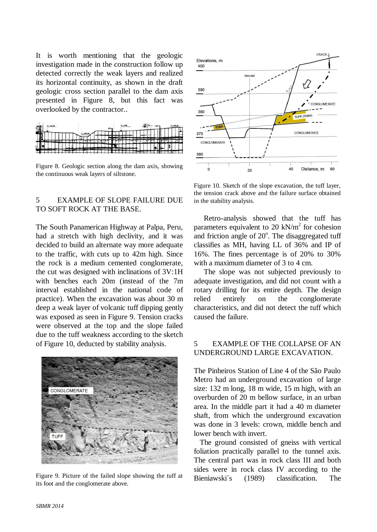It is worth mentioning that the geologic investigation made in the construction follow up detected correctly the weak layers and realized its horizontal continuity, as shown in the draft geologic cross section parallel to the dam axis presented in Figure 8, but this fact was overlooked by the contractor..



Figure 8. Geologic section along the dam axis, showing the continuous weak layers of siltstone.

# 5 EXAMPLE OF SLOPE FAILURE DUE TO SOFT ROCK AT THE BASE.

The South Panamerican Highway at Palpa, Peru, had a stretch with high declivity, and it was decided to build an alternate way more adequate to the traffic, with cuts up to 42m high. Since the rock is a medium cemented conglomerate, the cut was designed with inclinations of 3V:1H with benches each 20m (instead of the 7m interval established in the national code of practice). When the excavation was about 30 m deep a weak layer of volcanic tuff dipping gently was exposed as seen in Figure 9. Tension cracks were observed at the top and the slope failed due to the tuff weakness according to the sketch of Figure 10, deducted by stability analysis.



Figure 9. Picture of the failed slope showing the tuff at its foot and the conglomerate above.



Figure 10. Sketch of the slope excavation, the tuff layer, the tension crack above and the failure surface obtained in the stability analysis.

 Retro-analysis showed that the tuff has parameters equivalent to 20 kN/ $m<sup>2</sup>$  for cohesion and friction angle of  $20^{\circ}$ . The disaggregated tuff classifies as MH, having LL of 36% and IP of 16%. The fines percentage is of 20% to 30% with a maximum diameter of 3 to 4 cm.

 The slope was not subjected previously to adequate investigation, and did not count with a rotary drilling for its entire depth. The design relied entirely on the conglomerate characteristics, and did not detect the tuff which caused the failure.

# 5 EXAMPLE OF THE COLLAPSE OF AN UNDERGROUND LARGE EXCAVATION.

The Pinheiros Station of Line 4 of the São Paulo Metro had an underground excavation of large size: 132 m long, 18 m wide, 15 m high, with an overburden of 20 m bellow surface, in an urban area. In the middle part it had a 40 m diameter shaft, from which the underground excavation was done in 3 levels: crown, middle bench and lower bench with invert.

 The ground consisted of gneiss with vertical foliation practically parallel to the tunnel axis. The central part was in rock class III and both sides were in rock class IV according to the Bieniawski´s (1989) classification. The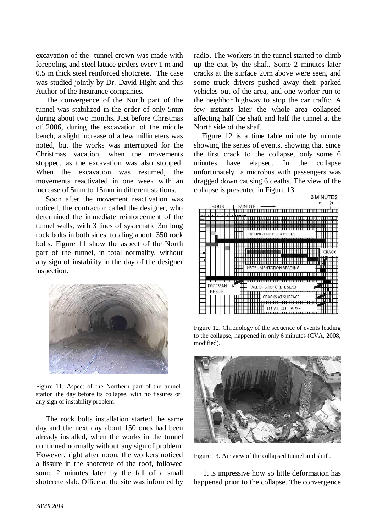excavation of the tunnel crown was made with forepoling and steel lattice girders every 1 m and 0.5 m thick steel reinforced shotcrete. The case was studied jointly by Dr. David Hight and this Author of the Insurance companies.

 The convergence of the North part of the tunnel was stabilized in the order of only 5mm during about two months. Just before Christmas of 2006, during the excavation of the middle bench, a slight increase of a few millimeters was noted, but the works was interrupted for the Christmas vacation, when the movements stopped, as the excavation was also stopped. When the excavation was resumed, the movements reactivated in one week with an increase of 5mm to 15mm in different stations.

 Soon after the movement reactivation was noticed, the contractor called the designer, who determined the immediate reinforcement of the tunnel walls, with 3 lines of systematic 3m long rock bolts in both sides, totaling about 350 rock bolts. Figure 11 show the aspect of the North part of the tunnel, in total normality, without any sign of instability in the day of the designer inspection.



Figure 11. Aspect of the Northern part of the tunnel station the day before its collapse, with no fissures or any sign of instability problem.

 The rock bolts installation started the same day and the next day about 150 ones had been already installed, when the works in the tunnel continued normally without any sign of problem. However, right after noon, the workers noticed a fissure in the shotcrete of the roof, followed some 2 minutes later by the fall of a small shotcrete slab. Office at the site was informed by radio. The workers in the tunnel started to climb up the exit by the shaft. Some 2 minutes later cracks at the surface 20m above were seen, and some truck drivers pushed away their parked vehicles out of the area, and one worker run to the neighbor highway to stop the car traffic. A few instants later the whole area collapsed affecting half the shaft and half the tunnel at the North side of the shaft.

 Figure 12 is a time table minute by minute showing the series of events, showing that since the first crack to the collapse, only some 6 minutes have elapsed. In the collapse unfortunately a microbus with passengers was dragged down causing 6 deaths. The view of the collapse is presented in Figure 13.



Figure 12. Chronology of the sequence of events leading to the collapse, happened in only 6 minutes (CVA, 2008, modified).



Figure 13. Air view of the collapsed tunnel and shaft.

 It is impressive how so little deformation has happened prior to the collapse. The convergence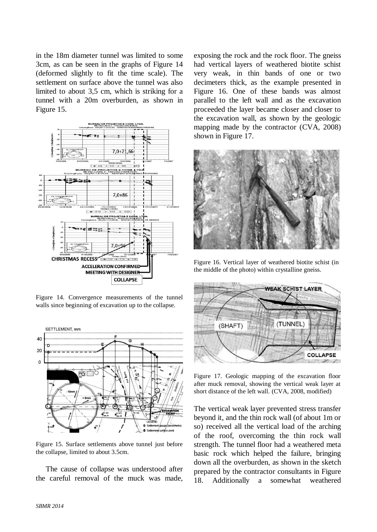in the 18m diameter tunnel was limited to some 3cm, as can be seen in the graphs of Figure 14 (deformed slightly to fit the time scale). The settlement on surface above the tunnel was also limited to about 3,5 cm, which is striking for a tunnel with a 20m overburden, as shown in Figure 15.



Figure 14. Convergence measurements of the tunnel walls since beginning of excavation up to the collapse.



Figure 15. Surface settlements above tunnel just before the collapse, limited to about 3.5cm.

 The cause of collapse was understood after the careful removal of the muck was made, exposing the rock and the rock floor. The gneiss had vertical layers of weathered biotite schist very weak, in thin bands of one or two decimeters thick, as the example presented in Figure 16. One of these bands was almost parallel to the left wall and as the excavation proceeded the layer became closer and closer to the excavation wall, as shown by the geologic mapping made by the contractor (CVA, 2008) shown in Figure 17.



Figure 16. Vertical layer of weathered biotite schist (in the middle of the photo) within crystalline gneiss.



Figure 17. Geologic mapping of the excavation floor after muck removal, showing the vertical weak layer at short distance of the left wall. (CVA, 2008, modified)

The vertical weak layer prevented stress transfer beyond it, and the thin rock wall (of about 1m or so) received all the vertical load of the arching of the roof, overcoming the thin rock wall strength. The tunnel floor had a weathered meta basic rock which helped the failure, bringing down all the overburden, as shown in the sketch prepared by the contractor consultants in Figure 18. Additionally a somewhat weathered